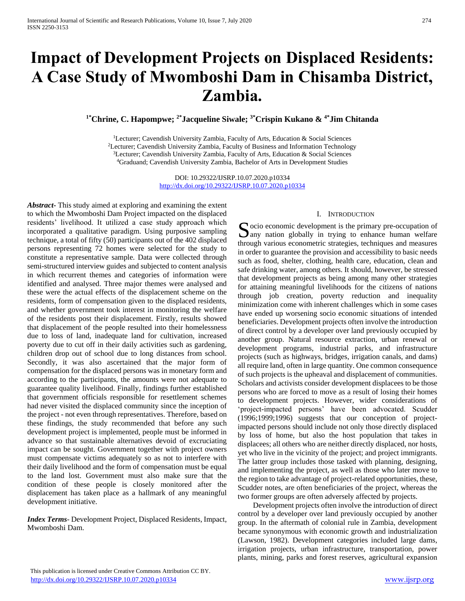# **Impact of Development Projects on Displaced Residents: A Case Study of Mwomboshi Dam in Chisamba District, Zambia.**

**1\*Chrine, C. Hapompwe; 2\*Jacqueline Siwale; 3\*Crispin Kukano & 4\*Jim Chitanda**

<sup>1</sup>Lecturer; Cavendish University Zambia, Faculty of Arts, Education & Social Sciences Lecturer; Cavendish University Zambia, Faculty of Business and Information Technology Lecturer; Cavendish University Zambia, Faculty of Arts, Education & Social Sciences Graduand; Cavendish University Zambia, Bachelor of Arts in Development Studies

> DOI: 10.29322/IJSRP.10.07.2020.p10334 <http://dx.doi.org/10.29322/IJSRP.10.07.2020.p10334>

*Abstract***-** This study aimed at exploring and examining the extent to which the Mwomboshi Dam Project impacted on the displaced residents' livelihood. It utilized a case study approach which incorporated a qualitative paradigm. Using purposive sampling technique, a total of fifty (50) participants out of the 402 displaced persons representing 72 homes were selected for the study to constitute a representative sample. Data were collected through semi-structured interview guides and subjected to content analysis in which recurrent themes and categories of information were identified and analysed. Three major themes were analysed and these were the actual effects of the displacement scheme on the residents, form of compensation given to the displaced residents, and whether government took interest in monitoring the welfare of the residents post their displacement. Firstly, results showed that displacement of the people resulted into their homelessness due to loss of land, inadequate land for cultivation, increased poverty due to cut off in their daily activities such as gardening, children drop out of school due to long distances from school. Secondly, it was also ascertained that the major form of compensation for the displaced persons was in monetary form and according to the participants, the amounts were not adequate to guarantee quality livelihood. Finally, findings further established that government officials responsible for resettlement schemes had never visited the displaced community since the inception of the project - not even through representatives. Therefore, based on these findings, the study recommended that before any such development project is implemented, people must be informed in advance so that sustainable alternatives devoid of excruciating impact can be sought. Government together with project owners must compensate victims adequately so as not to interfere with their daily livelihood and the form of compensation must be equal to the land lost. Government must also make sure that the condition of these people is closely monitored after the displacement has taken place as a hallmark of any meaningful development initiative.

*Index Terms*- Development Project, Displaced Residents, Impact, Mwomboshi Dam.

#### I. INTRODUCTION

 $\Gamma$  ocio economic development is the primary pre-occupation of Socio economic development is the primary pre-occupation of any nation globally in trying to enhance human welfare through various econometric strategies, techniques and measures in order to guarantee the provision and accessibility to basic needs such as food, shelter, clothing, health care, education, clean and safe drinking water, among others. It should, however, be stressed that development projects as being among many other strategies for attaining meaningful livelihoods for the citizens of nations through job creation, poverty reduction and inequality minimization come with inherent challenges which in some cases have ended up worsening socio economic situations of intended beneficiaries. Development projects often involve the introduction of direct control by a developer over land previously occupied by another group. Natural resource extraction, urban renewal or development programs, industrial parks, and infrastructure projects (such as highways, bridges, irrigation canals, and dams) all require land, often in large quantity. One common consequence of such projects is the upheaval and displacement of communities. Scholars and activists consider development displacees to be those persons who are forced to move as a result of losing their homes to development projects. However, wider considerations of 'project-impacted persons' have been advocated. Scudder (1996;1999;1996) suggests that our conception of projectimpacted persons should include not only those directly displaced by loss of home, but also the host population that takes in displacees; all others who are neither directly displaced, nor hosts, yet who live in the vicinity of the project; and project immigrants. The latter group includes those tasked with planning, designing, and implementing the project, as well as those who later move to the region to take advantage of project-related opportunities, these, Scudder notes, are often beneficiaries of the project, whereas the two former groups are often adversely affected by projects.

 Development projects often involve the introduction of direct control by a developer over land previously occupied by another group. In the aftermath of colonial rule in Zambia, development became synonymous with economic growth and industrialization (Lawson, 1982). Development categories included large dams, irrigation projects, urban infrastructure, transportation, power plants, mining, parks and forest reserves, agricultural expansion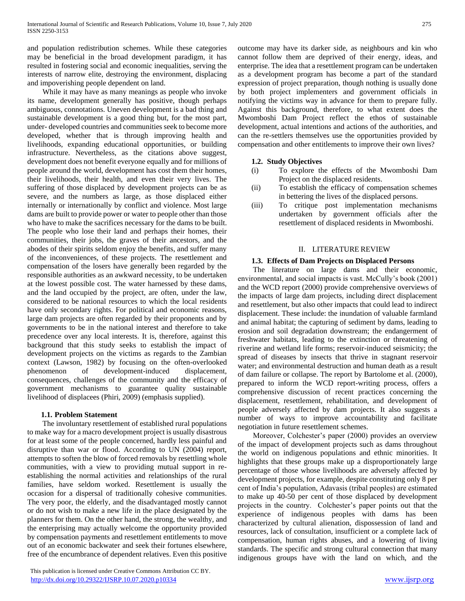and population redistribution schemes. While these categories may be beneficial in the broad development paradigm, it has resulted in fostering social and economic inequalities, serving the interests of narrow elite, destroying the environment, displacing and impoverishing people dependent on land.

 While it may have as many meanings as people who invoke its name, development generally has positive, though perhaps ambiguous, connotations. Uneven development is a bad thing and sustainable development is a good thing but, for the most part, under- developed countries and communities seek to become more developed, whether that is through improving health and livelihoods, expanding educational opportunities, or building infrastructure. Nevertheless, as the citations above suggest, development does not benefit everyone equally and for millions of people around the world, development has cost them their homes, their livelihoods, their health, and even their very lives. The suffering of those displaced by development projects can be as severe, and the numbers as large, as those displaced either internally or internationally by conflict and violence. Most large dams are built to provide power or water to people other than those who have to make the sacrifices necessary for the dams to be built. The people who lose their land and perhaps their homes, their communities, their jobs, the graves of their ancestors, and the abodes of their spirits seldom enjoy the benefits, and suffer many of the inconveniences, of these projects. The resettlement and compensation of the losers have generally been regarded by the responsible authorities as an awkward necessity, to be undertaken at the lowest possible cost. The water harnessed by these dams, and the land occupied by the project, are often, under the law, considered to be national resources to which the local residents have only secondary rights. For political and economic reasons, large dam projects are often regarded by their proponents and by governments to be in the national interest and therefore to take precedence over any local interests. It is, therefore, against this background that this study seeks to establish the impact of development projects on the victims as regards to the Zambian context (Lawson, 1982) by focusing on the often-overlooked phenomenon of development-induced displacement, consequences, challenges of the community and the efficacy of government mechanisms to guarantee quality sustainable livelihood of displacees (Phiri, 2009) (emphasis supplied).

## **1.1. Problem Statement**

 The involuntary resettlement of established rural populations to make way for a macro development project is usually disastrous for at least some of the people concerned, hardly less painful and disruptive than war or flood. According to UN (2004) report, attempts to soften the blow of forced removals by resettling whole communities, with a view to providing mutual support in reestablishing the normal activities and relationships of the rural families, have seldom worked. Resettlement is usually the occasion for a dispersal of traditionally cohesive communities. The very poor, the elderly, and the disadvantaged mostly cannot or do not wish to make a new life in the place designated by the planners for them. On the other hand, the strong, the wealthy, and the enterprising may actually welcome the opportunity provided by compensation payments and resettlement entitlements to move out of an economic backwater and seek their fortunes elsewhere, free of the encumbrance of dependent relatives. Even this positive

 This publication is licensed under Creative Commons Attribution CC BY. http://dx.doi<u>.org/10.29322/IJSRP.10.07.2020.p10334</u> [www.ijsrp.org](http://ijsrp.org/)

outcome may have its darker side, as neighbours and kin who cannot follow them are deprived of their energy, ideas, and enterprise. The idea that a resettlement program can be undertaken as a development program has become a part of the standard expression of project preparation, though nothing is usually done by both project implementers and government officials in notifying the victims way in advance for them to prepare fully. Against this background, therefore, to what extent does the Mwomboshi Dam Project reflect the ethos of sustainable development, actual intentions and actions of the authorities, and can the re-settlers themselves use the opportunities provided by compensation and other entitlements to improve their own lives?

## **1.2. Study Objectives**

- (i) To explore the effects of the Mwomboshi Dam Project on the displaced residents.
- (ii) To establish the efficacy of compensation schemes in bettering the lives of the displaced persons.
- (iii) To critique post implementation mechanisms undertaken by government officials after the resettlement of displaced residents in Mwomboshi.

### II. LITERATURE REVIEW

#### **1.3. Effects of Dam Projects on Displaced Persons**

 The literature on large dams and their economic, environmental, and social impacts is vast. McCully's book (2001) and the WCD report (2000) provide comprehensive overviews of the impacts of large dam projects, including direct displacement and resettlement, but also other impacts that could lead to indirect displacement. These include: the inundation of valuable farmland and animal habitat; the capturing of sediment by dams, leading to erosion and soil degradation downstream; the endangerment of freshwater habitats, leading to the extinction or threatening of riverine and wetland life forms; reservoir-induced seismicity; the spread of diseases by insects that thrive in stagnant reservoir water; and environmental destruction and human death as a result of dam failure or collapse. The report by Bartolome et al. (2000), prepared to inform the WCD report-writing process, offers a comprehensive discussion of recent practices concerning the displacement, resettlement, rehabilitation, and development of people adversely affected by dam projects. It also suggests a number of ways to improve accountability and facilitate negotiation in future resettlement schemes.

 Moreover, Colchester's paper (2000) provides an overview of the impact of development projects such as dams throughout the world on indigenous populations and ethnic minorities. It highlights that these groups make up a disproportionately large percentage of those whose livelihoods are adversely affected by development projects, for example, despite constituting only 8 per cent of India's population, Adavasis (tribal peoples) are estimated to make up 40-50 per cent of those displaced by development projects in the country. Colchester's paper points out that the experience of indigenous peoples with dams has been characterized by cultural alienation, dispossession of land and resources, lack of consultation, insufficient or a complete lack of compensation, human rights abuses, and a lowering of living standards. The specific and strong cultural connection that many indigenous groups have with the land on which, and the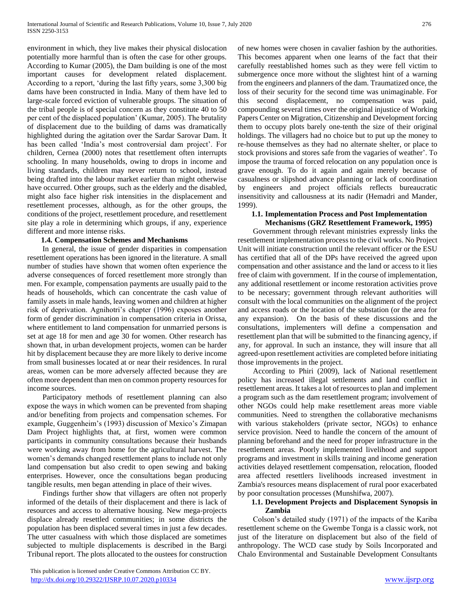environment in which, they live makes their physical dislocation potentially more harmful than is often the case for other groups. According to Kumar (2005), the Dam building is one of the most important causes for development related displacement. According to a report, 'during the last fifty years, some 3,300 big dams have been constructed in India. Many of them have led to large-scale forced eviction of vulnerable groups. The situation of the tribal people is of special concern as they constitute 40 to 50 per cent of the displaced population' (Kumar, 2005). The brutality of displacement due to the building of dams was dramatically highlighted during the agitation over the Sardar Sarovar Dam. It has been called 'India's most controversial dam project'. For children, Cernea (2000) notes that resettlement often interrupts schooling. In many households, owing to drops in income and living standards, children may never return to school, instead being drafted into the labour market earlier than might otherwise have occurred. Other groups, such as the elderly and the disabled, might also face higher risk intensities in the displacement and resettlement processes, although, as for the other groups, the conditions of the project, resettlement procedure, and resettlement site play a role in determining which groups, if any, experience different and more intense risks.

#### **1.4. Compensation Schemes and Mechanisms**

 In general, the issue of gender disparities in compensation resettlement operations has been ignored in the literature. A small number of studies have shown that women often experience the adverse consequences of forced resettlement more strongly than men. For example, compensation payments are usually paid to the heads of households, which can concentrate the cash value of family assets in male hands, leaving women and children at higher risk of deprivation. Agnihotri's chapter (1996) exposes another form of gender discrimination in compensation criteria in Orissa, where entitlement to land compensation for unmarried persons is set at age 18 for men and age 30 for women. Other research has shown that, in urban development projects, women can be harder hit by displacement because they are more likely to derive income from small businesses located at or near their residences. In rural areas, women can be more adversely affected because they are often more dependent than men on common property resources for income sources.

 Participatory methods of resettlement planning can also expose the ways in which women can be prevented from shaping and/or benefiting from projects and compensation schemes. For example, Guggenheim's (1993) discussion of Mexico's Zimapan Dam Project highlights that, at first, women were common participants in community consultations because their husbands were working away from home for the agricultural harvest. The women's demands changed resettlement plans to include not only land compensation but also credit to open sewing and baking enterprises. However, once the consultations began producing tangible results, men began attending in place of their wives.

 Findings further show that villagers are often not properly informed of the details of their displacement and there is lack of resources and access to alternative housing. New mega-projects displace already resettled communities; in some districts the population has been displaced several times in just a few decades. The utter casualness with which those displaced are sometimes subjected to multiple displacements is described in the Bargi Tribunal report. The plots allocated to the oustees for construction

of new homes were chosen in cavalier fashion by the authorities. This becomes apparent when one learns of the fact that their carefully reestablished homes such as they were fell victim to submergence once more without the slightest hint of a warning from the engineers and planners of the dam. Traumatized once, the loss of their security for the second time was unimaginable. For this second displacement, no compensation was paid, compounding several times over the original injustice of Working Papers Center on Migration, Citizenship and Development forcing them to occupy plots barely one-tenth the size of their original holdings. The villagers had no choice but to put up the money to re-house themselves as they had no alternate shelter, or place to stock provisions and stores safe from the vagaries of weather'. To impose the trauma of forced relocation on any population once is grave enough. To do it again and again merely because of casualness or slipshod advance planning or lack of coordination by engineers and project officials reflects bureaucratic insensitivity and callousness at its nadir (Hemadri and Mander, 1999).

## **1.1. Implementation Process and Post Implementation**

**Mechanisms (GRZ Resettlement Framework, 1995)** Government through relevant ministries expressly links the resettlement implementation process to the civil works. No Project Unit will initiate construction until the relevant officer or the ESU has certified that all of the DPs have received the agreed upon compensation and other assistance and the land or access to it lies free of claim with government. If in the course of implementation, any additional resettlement or income restoration activities prove to be necessary; government through relevant authorities will consult with the local communities on the alignment of the project and access roads or the location of the substation (or the area for any expansion). On the basis of these discussions and the consultations, implementers will define a compensation and resettlement plan that will be submitted to the financing agency, if any, for approval. In such an instance, they will insure that all agreed-upon resettlement activities are completed before initiating those improvements in the project.

 According to Phiri (2009), lack of National resettlement policy has increased illegal settlements and land conflict in resettlement areas. It takes a lot of resources to plan and implement a program such as the dam resettlement program; involvement of other NGOs could help make resettlement areas more viable communities. Need to strengthen the collaborative mechanisms with various stakeholders (private sector, NGOs) to enhance service provision. Need to handle the concern of the amount of planning beforehand and the need for proper infrastructure in the resettlement areas. Poorly implemented livelihood and support programs and investment in skills training and income generation activities delayed resettlement compensation, relocation, flooded area affected resettlers livelihoods increased investment in Zambia's resources means displacement of rural poor exacerbated by poor consultation processes (Munshifwa, 2007).

#### **1.1. Development Projects and Displacement Synopsis in Zambia**

 Colson's detailed study (1971) of the impacts of the Kariba resettlement scheme on the Gwembe Tonga is a classic work, not just of the literature on displacement but also of the field of anthropology. The WCD case study by Soils Incorporated and Chalo Environmental and Sustainable Development Consultants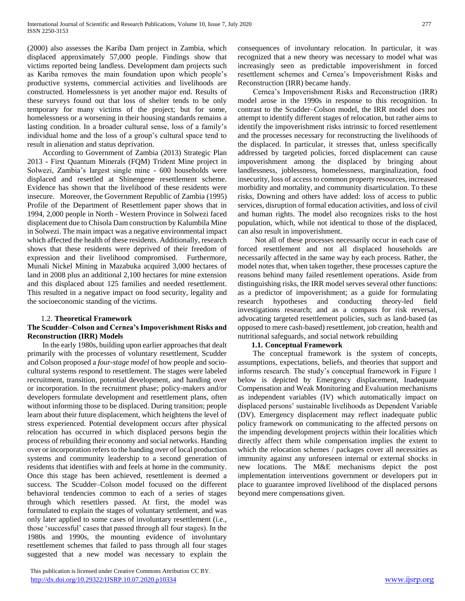(2000) also assesses the Kariba Dam project in Zambia, which displaced approximately 57,000 people. Findings show that victims reported being landless. Development dam projects such as Kariba removes the main foundation upon which people's productive systems, commercial activities and livelihoods are constructed. Homelessness is yet another major end. Results of these surveys found out that loss of shelter tends to be only temporary for many victims of the project; but for some, homelessness or a worsening in their housing standards remains a lasting condition. In a broader cultural sense, loss of a family's individual home and the loss of a group's cultural space tend to result in alienation and status deprivation.

 According to Government of Zambia (2013) Strategic Plan 2013 - First Quantum Minerals (FQM) Trident Mine project in Solwezi, Zambia's largest single mine - 600 households were displaced and resettled at Shinengene resettlement scheme. Evidence has shown that the livelihood of these residents were insecure. Moreover, the Government Republic of Zambia (1995) Profile of the Department of Resettlement paper shows that in 1994, 2,000 people in North - Western Province in Solwezi faced displacement due to Chisola Dam construction by Kalumbila Mine in Solwezi. The main impact was a negative environmental impact which affected the health of these residents. Additionally, research shows that these residents were deprived of their freedom of expression and their livelihood compromised. Furthermore, Munali Nickel Mining in Mazabuka acquired 3,000 hectares of land in 2008 plus an additional 2,100 hectares for mine extension and this displaced about 125 families and needed resettlement. This resulted in a negative impact on food security, legality and the socioeconomic standing of the victims.

### 1.2. **Theoretical Framework**

## **The Scudder–Colson and Cernea's Impoverishment Risks and Reconstruction (IRR) Models**

 In the early 1980s, building upon earlier approaches that dealt primarily with the processes of voluntary resettlement, Scudder and Colson proposed a *four-stage model* of how people and sociocultural systems respond to resettlement. The stages were labeled recruitment, transition, potential development, and handing over or incorporation. In the recruitment phase; policy-makers and/or developers formulate development and resettlement plans, often without informing those to be displaced. During transition; people learn about their future displacement, which heightens the level of stress experienced. Potential development occurs after physical relocation has occurred in which displaced persons begin the process of rebuilding their economy and social networks. Handing over or incorporation refers to the handing over of local production systems and community leadership to a second generation of residents that identifies with and feels at home in the community. Once this stage has been achieved, resettlement is deemed a success. The Scudder–Colson model focused on the different behavioral tendencies common to each of a series of stages through which resettlers passed. At first, the model was formulated to explain the stages of voluntary settlement, and was only later applied to some cases of involuntary resettlement (i.e., those 'successful' cases that passed through all four stages). In the 1980s and 1990s, the mounting evidence of involuntary resettlement schemes that failed to pass through all four stages suggested that a new model was necessary to explain the

 This publication is licensed under Creative Commons Attribution CC BY. <http://dx.doi.org/10.29322/IJSRP.10.07.2020.p10334> [www.ijsrp.org](http://ijsrp.org/)

consequences of involuntary relocation. In particular, it was recognized that a new theory was necessary to model what was increasingly seen as predictable impoverishment in forced resettlement schemes and Cernea's Impoverishment Risks and Reconstruction (IRR) became handy.

 Cernea's Impoverishment Risks and Reconstruction (IRR) model arose in the 1990s in response to this recognition. In contrast to the Scudder–Colson model, the IRR model does not attempt to identify different stages of relocation, but rather aims to identify the impoverishment risks intrinsic to forced resettlement and the processes necessary for reconstructing the livelihoods of the displaced. In particular, it stresses that, unless specifically addressed by targeted policies, forced displacement can cause impoverishment among the displaced by bringing about landlessness, joblessness, homelessness, marginalization, food insecurity, loss of access to common property resources, increased morbidity and mortality, and community disarticulation. To these risks, Downing and others have added: loss of access to public services, disruption of formal education activities, and loss of civil and human rights. The model also recognizes risks to the host population, which, while not identical to those of the displaced, can also result in impoverishment.

 Not all of these processes necessarily occur in each case of forced resettlement and not all displaced households are necessarily affected in the same way by each process. Rather, the model notes that, when taken together, these processes capture the reasons behind many failed resettlement operations. Aside from distinguishing risks, the IRR model serves several other functions: as a predictor of impoverishment; as a guide for formulating research hypotheses and conducting theory-led field investigations research; and as a compass for risk reversal, advocating targeted resettlement policies, such as land-based (as opposed to mere cash-based) resettlement, job creation, health and nutritional safeguards, and social network rebuilding

### **1.1. Conceptual Framework**

 The conceptual framework is the system of concepts, assumptions, expectations, beliefs, and theories that support and informs research. The study's conceptual framework in Figure 1 below is depicted by Emergency displacement, Inadequate Compensation and Weak Monitoring and Evaluation mechanisms as independent variables (IV) which automatically impact on displaced persons' sustainable livelihoods as Dependent Variable (DV). Emergency displacement may reflect inadequate public policy framework on communicating to the affected persons on the impending development projects within their localities which directly affect them while compensation implies the extent to which the relocation schemes / packages cover all necessities as immunity against any unforeseen internal or external shocks in new locations. The M&E mechanisms depict the post implementation interventions government or developers put in place to guarantee improved livelihood of the displaced persons beyond mere compensations given.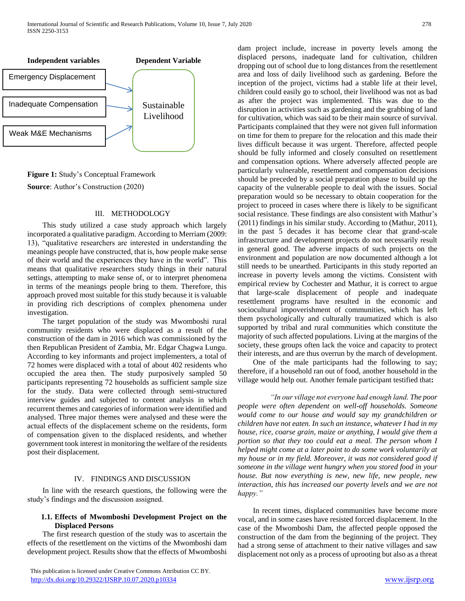

**Figure 1:** Study's Conceptual Framework **Source**: Author's Construction (2020)

#### III. METHODOLOGY

 This study utilized a case study approach which largely incorporated a qualitative paradigm. According to Merriam (2009: 13), "qualitative researchers are interested in understanding the meanings people have constructed, that is, how people make sense of their world and the experiences they have in the world". This means that qualitative researchers study things in their natural settings, attempting to make sense of, or to interpret phenomena in terms of the meanings people bring to them. Therefore, this approach proved most suitable for this study because it is valuable in providing rich descriptions of complex phenomena under investigation.

 The target population of the study was Mwomboshi rural community residents who were displaced as a result of the construction of the dam in 2016 which was commissioned by the then Republican President of Zambia, Mr. Edgar Chagwa Lungu. According to key informants and project implementers, a total of 72 homes were displaced with a total of about 402 residents who occupied the area then. The study purposively sampled 50 participants representing 72 households as sufficient sample size for the study. Data were collected through semi-structured interview guides and subjected to content analysis in which recurrent themes and categories of information were identified and analysed. Three major themes were analysed and these were the actual effects of the displacement scheme on the residents, form of compensation given to the displaced residents, and whether government took interest in monitoring the welfare of the residents post their displacement.

#### IV. FINDINGS AND DISCUSSION

 In line with the research questions, the following were the study's findings and the discussion assigned.

## **1.1. Effects of Mwomboshi Development Project on the Displaced Persons**

 The first research question of the study was to ascertain the effects of the resettlement on the victims of the Mwomboshi dam development project. Results show that the effects of Mwomboshi

dam project include, increase in poverty levels among the displaced persons, inadequate land for cultivation, children dropping out of school due to long distances from the resettlement area and loss of daily livelihood such as gardening. Before the inception of the project, victims had a stable life at their level, children could easily go to school, their livelihood was not as bad as after the project was implemented. This was due to the disruption in activities such as gardening and the grabbing of land for cultivation, which was said to be their main source of survival. Participants complained that they were not given full information on time for them to prepare for the relocation and this made their lives difficult because it was urgent. Therefore, affected people should be fully informed and closely consulted on resettlement and compensation options. Where adversely affected people are particularly vulnerable, resettlement and compensation decisions should be preceded by a social preparation phase to build up the capacity of the vulnerable people to deal with the issues. Social preparation would so be necessary to obtain cooperation for the project to proceed in cases where there is likely to be significant social resistance. These findings are also consistent with Mathur's (2011) findings in his similar study. According to (Mathur, 2011), in the past 5 decades it has become clear that grand-scale infrastructure and development projects do not necessarily result in general good. The adverse impacts of such projects on the environment and population are now documented although a lot still needs to be unearthed. Participants in this study reported an increase in poverty levels among the victims. Consistent with empirical review by Cochester and Mathur, it is correct to argue that large-scale displacement of people and inadequate resettlement programs have resulted in the economic and sociocultural impoverishment of communities, which has left them psychologically and culturally traumatized which is also supported by tribal and rural communities which constitute the majority of such affected populations. Living at the margins of the society, these groups often lack the voice and capacity to protect their interests, and are thus overrun by the march of development.

 One of the male participants had the following to say; therefore, if a household ran out of food, another household in the village would help out. Another female participant testified that**:** 

 *"In our village not everyone had enough land. The poor people were often dependent on well-off households. Someone would come to our house and would say my grandchildren or children have not eaten. In such an instance, whatever I had in my house, rice, coarse grain, maize or anything, I would give them a portion so that they too could eat a meal. The person whom I helped might come at a later point to do some work voluntarily at my house or in my field. Moreover, it was not considered good if someone in the village went hungry when you stored food in your house. But now everything is new, new life, new people, new interaction, this has increased our poverty levels and we are not happy."*

 In recent times, displaced communities have become more vocal, and in some cases have resisted forced displacement. In the case of the Mwomboshi Dam, the affected people opposed the construction of the dam from the beginning of the project. They had a strong sense of attachment to their native villages and saw displacement not only as a process of uprooting but also as a threat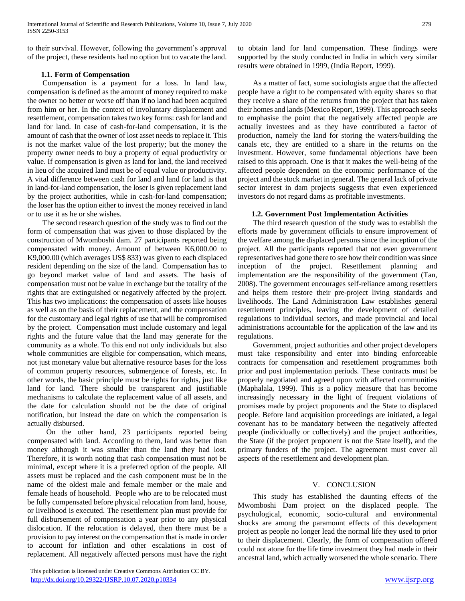to their survival. However, following the government's approval of the project, these residents had no option but to vacate the land.

## **1.1. Form of Compensation**

 Compensation is a payment for a loss. In land law, compensation is defined as the amount of money required to make the owner no better or worse off than if no land had been acquired from him or her. In the context of involuntary displacement and resettlement, compensation takes two key forms: cash for land and land for land. In case of cash-for-land compensation, it is the amount of cash that the owner of lost asset needs to replace it. This is not the market value of the lost property; but the money the property owner needs to buy a property of equal productivity or value. If compensation is given as land for land, the land received in lieu of the acquired land must be of equal value or productivity. A vital difference between cash for land and land for land is that in land-for-land compensation, the loser is given replacement land by the project authorities, while in cash-for-land compensation; the loser has the option either to invest the money received in land or to use it as he or she wishes.

 The second research question of the study was to find out the form of compensation that was given to those displaced by the construction of Mwomboshi dam. 27 participants reported being compensated with money. Amount of between K6,000.00 to K9,000.00 (which averages US\$ 833) was given to each displaced resident depending on the size of the land. Compensation has to go beyond market value of land and assets. The basis of compensation must not be value in exchange but the totality of the rights that are extinguished or negatively affected by the project. This has two implications: the compensation of assets like houses as well as on the basis of their replacement, and the compensation for the customary and legal rights of use that will be compromised by the project. Compensation must include customary and legal rights and the future value that the land may generate for the community as a whole. To this end not only individuals but also whole communities are eligible for compensation, which means, not just monetary value but alternative resource bases for the loss of common property resources, submergence of forests, etc. In other words, the basic principle must be rights for rights, just like land for land. There should be transparent and justifiable mechanisms to calculate the replacement value of all assets, and the date for calculation should not be the date of original notification, but instead the date on which the compensation is actually disbursed.

 On the other hand, 23 participants reported being compensated with land. According to them, land was better than money although it was smaller than the land they had lost. Therefore, it is worth noting that cash compensation must not be minimal, except where it is a preferred option of the people. All assets must be replaced and the cash component must be in the name of the oldest male and female member or the male and female heads of household. People who are to be relocated must be fully compensated before physical relocation from land, house, or livelihood is executed. The resettlement plan must provide for full disbursement of compensation a year prior to any physical dislocation. If the relocation is delayed, then there must be a provision to pay interest on the compensation that is made in order to account for inflation and other escalations in cost of replacement. All negatively affected persons must have the right

 This publication is licensed under Creative Commons Attribution CC BY. <http://dx.doi.org/10.29322/IJSRP.10.07.2020.p10334> [www.ijsrp.org](http://ijsrp.org/)

to obtain land for land compensation. These findings were supported by the study conducted in India in which very similar results were obtained in 1999, (India Report, 1999).

 As a matter of fact, some sociologists argue that the affected people have a right to be compensated with equity shares so that they receive a share of the returns from the project that has taken their homes and lands (Mexico Report, 1999). This approach seeks to emphasise the point that the negatively affected people are actually investees and as they have contributed a factor of production, namely the land for storing the waters/building the canals etc, they are entitled to a share in the returns on the investment. However, some fundamental objections have been raised to this approach. One is that it makes the well-being of the affected people dependent on the economic performance of the project and the stock market in general. The general lack of private sector interest in dam projects suggests that even experienced investors do not regard dams as profitable investments.

## **1.2. Government Post Implementation Activities**

 The third research question of the study was to establish the efforts made by government officials to ensure improvement of the welfare among the displaced persons since the inception of the project. All the participants reported that not even government representatives had gone there to see how their condition was since inception of the project. Resettlement planning and implementation are the responsibility of the government (Tan, 2008). The government encourages self-reliance among resettlers and helps them restore their pre-project living standards and livelihoods. The Land Administration Law establishes general resettlement principles, leaving the development of detailed regulations to individual sectors, and made provincial and local administrations accountable for the application of the law and its regulations.

 Government, project authorities and other project developers must take responsibility and enter into binding enforceable contracts for compensation and resettlement programmes both prior and post implementation periods. These contracts must be properly negotiated and agreed upon with affected communities (Maphalala, 1999). This is a policy measure that has become increasingly necessary in the light of frequent violations of promises made by project proponents and the State to displaced people. Before land acquisition proceedings are initiated, a legal covenant has to be mandatory between the negatively affected people (individually or collectively) and the project authorities, the State (if the project proponent is not the State itself), and the primary funders of the project. The agreement must cover all aspects of the resettlement and development plan.

### V. CONCLUSION

 This study has established the daunting effects of the Mwomboshi Dam project on the displaced people. The psychological, economic, socio-cultural and environmental shocks are among the paramount effects of this development project as people no longer lead the normal life they used to prior to their displacement. Clearly, the form of compensation offered could not atone for the life time investment they had made in their ancestral land, which actually worsened the whole scenario. There